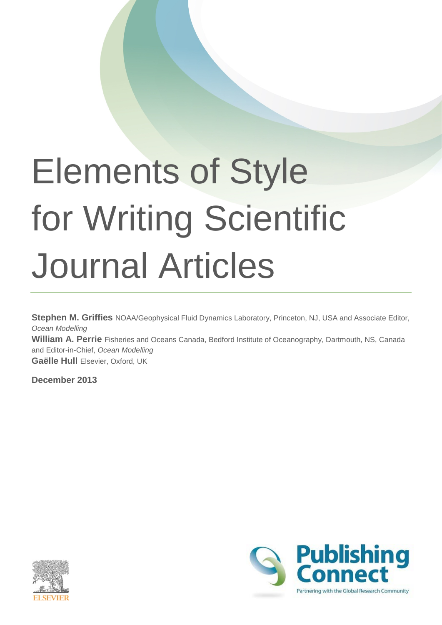# Elements of Style for Writing Scientific Journal Articles

**Stephen M. Griffies** NOAA/Geophysical Fluid Dynamics Laboratory, Princeton, NJ, USA and Associate Editor, *Ocean Modelling* **William A. Perrie** Fisheries and Oceans Canada, Bedford Institute of Oceanography, Dartmouth, NS, Canada and Editor-in-Chief, *Ocean Modelling* **Gaëlle Hull** Elsevier, Oxford, UK

**December 2013**



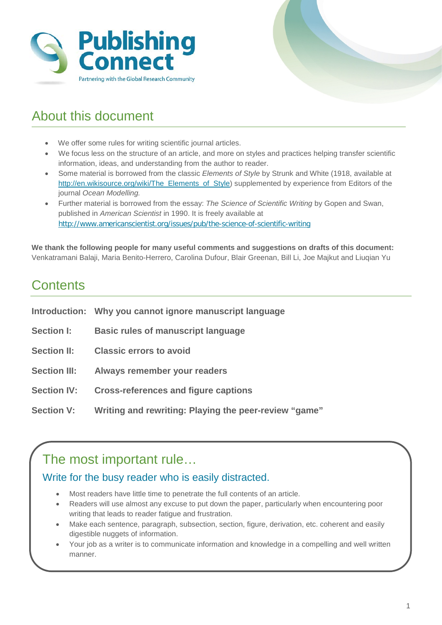



# About this document

- We offer some rules for writing scientific journal articles.
- We focus less on the structure of an article, and more on styles and practices helping transfer scientific information, ideas, and understanding from the author to reader.
- Some material is borrowed from the classic *Elements of Style* by Strunk and White (1918, available at [http://en.wikisource.org/wiki/The\\_Elements\\_of\\_Style\)](http://en.wikisource.org/wiki/The_Elements_of_Style) supplemented by experience from Editors of the journal *Ocean Modelling.*
- Further material is borrowed from the essay: *The Science of Scientific Writing* by Gopen and Swan, published in *American Scientist* in 1990. It is freely available at <http://www.americanscientist.org/issues/pub/the-science-of-scientific-writing>

**We thank the following people for many useful comments and suggestions on drafts of this document:** Venkatramani Balaji, Maria Benito-Herrero, Carolina Dufour, Blair Greenan, Bill Li, Joe Majkut and Liuqian Yu

# **Contents**

|                     | Introduction: Why you cannot ignore manuscript language |
|---------------------|---------------------------------------------------------|
| <b>Section I:</b>   | <b>Basic rules of manuscript language</b>               |
| <b>Section II:</b>  | <b>Classic errors to avoid</b>                          |
| <b>Section III:</b> | Always remember your readers                            |
| <b>Section IV:</b>  | <b>Cross-references and figure captions</b>             |
| <b>Section V:</b>   | Writing and rewriting: Playing the peer-review "game"   |

# The most important rule…

## Write for the busy reader who is easily distracted.

- Most readers have little time to penetrate the full contents of an article.
- Readers will use almost any excuse to put down the paper, particularly when encountering poor writing that leads to reader fatigue and frustration.
- Make each sentence, paragraph, subsection, section, figure, derivation, etc. coherent and easily digestible nuggets of information.
- Your job as a writer is to communicate information and knowledge in a compelling and well written manner.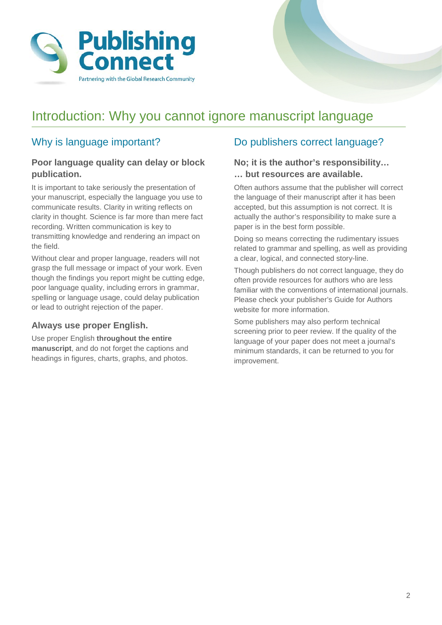

# Introduction: Why you cannot ignore manuscript language

## Why is language important?

#### **Poor language quality can delay or block publication.**

It is important to take seriously the presentation of your manuscript, especially the language you use to communicate results. Clarity in writing reflects on clarity in thought. Science is far more than mere fact recording. Written communication is key to transmitting knowledge and rendering an impact on the field.

Without clear and proper language, readers will not grasp the full message or impact of your work. Even though the findings you report might be cutting edge, poor language quality, including errors in grammar, spelling or language usage, could delay publication or lead to outright rejection of the paper.

#### **Always use proper English.**

Use proper English **throughout the entire manuscript**, and do not forget the captions and headings in figures, charts, graphs, and photos.

## Do publishers correct language?

#### **No; it is the author's responsibility… … but resources are available.**

Often authors assume that the publisher will correct the language of their manuscript after it has been accepted, but this assumption is not correct. It is actually the author's responsibility to make sure a paper is in the best form possible.

Doing so means correcting the rudimentary issues related to grammar and spelling, as well as providing a clear, logical, and connected story-line.

Though publishers do not correct language, they do often provide resources for authors who are less familiar with the conventions of international journals. Please check your publisher's Guide for Authors website for more information.

Some publishers may also perform technical screening prior to peer review. If the quality of the language of your paper does not meet a journal's minimum standards, it can be returned to you for improvement.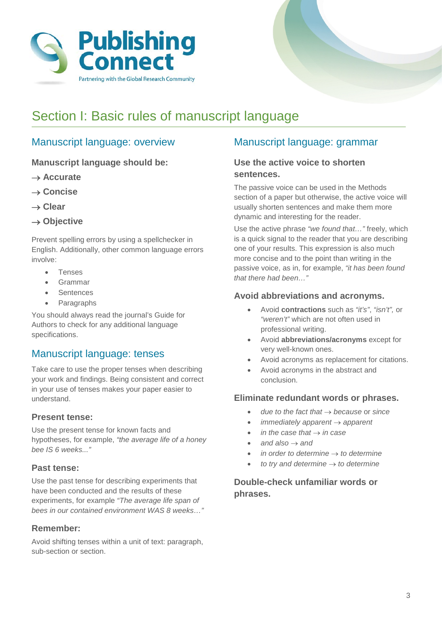

# Section I: Basic rules of manuscript language

## Manuscript language: overview

**Manuscript language should be:**

- → **Accurate**
- → **Concise**
- → **Clear**
- → **Objective**

Prevent spelling errors by using a spellchecker in English. Additionally, other common language errors involve:

- Tenses
- Grammar
- **Sentences**
- **Paragraphs**

You should always read the journal's Guide for Authors to check for any additional language specifications.

## Manuscript language: tenses

Take care to use the proper tenses when describing your work and findings. Being consistent and correct in your use of tenses makes your paper easier to understand.

#### **Present tense:**

Use the present tense for known facts and hypotheses, for example, *"the average life of a honey bee IS 6 weeks..."*

#### **Past tense:**

Use the past tense for describing experiments that have been conducted and the results of these experiments, for example *"The average life span of bees in our contained environment WAS 8 weeks…"*

#### **Remember:**

Avoid shifting tenses within a unit of text: paragraph, sub-section or section.

## Manuscript language: grammar

#### **Use the active voice to shorten sentences.**

The passive voice can be used in the Methods section of a paper but otherwise, the active voice will usually shorten sentences and make them more dynamic and interesting for the reader.

Use the active phrase *"we found that…"* freely, which is a quick signal to the reader that you are describing one of your results. This expression is also much more concise and to the point than writing in the passive voice, as in, for example, *"it has been found that there had been…"*

#### **Avoid abbreviations and acronyms.**

- Avoid **contractions** such as *"it's"*, *"isn't",* or *"weren't"* which are not often used in professional writing.
- Avoid **abbreviations/acronyms** except for very well-known ones.
- Avoid acronyms as replacement for citations.
- Avoid acronyms in the abstract and conclusion.

#### **Eliminate redundant words or phrases.**

- *due to the fact that* → *because* or *since*
- *immediately apparent* → *apparent*
- *in the case that* → *in case*
- *and also* → *and*
- *in order to determine* → *to determine*
- *to try and determine* → *to determine*

#### **Double-check unfamiliar words or phrases.**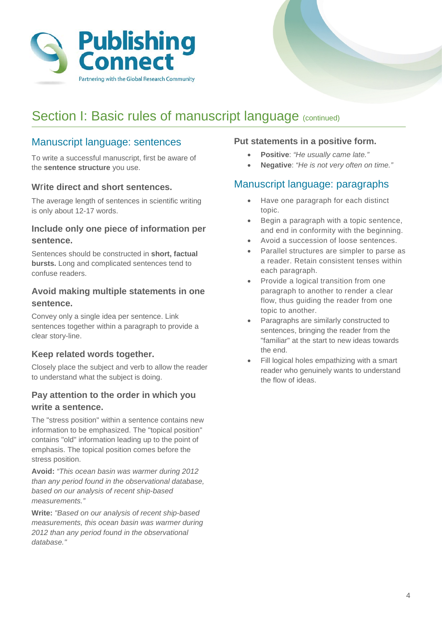

# Section I: Basic rules of manuscript language (continued)

### Manuscript language: sentences

To write a successful manuscript, first be aware of the **sentence structure** you use.

#### **W**r**ite direct and short sentences.**

The average length of sentences in scientific writing is only about 12-17 words.

#### **Include only one piece of information per sentence.**

Sentences should be constructed in **short, factual bursts.** Long and complicated sentences tend to confuse readers.

#### **Avoid making multiple statements in one sentence.**

Convey only a single idea per sentence. Link sentences together within a paragraph to provide a clear story-line.

#### **Keep related words together.**

Closely place the subject and verb to allow the reader to understand what the subject is doing.

#### **Pay attention to the order in which you write a sentence.**

The "stress position" within a sentence contains new information to be emphasized. The "topical position" contains "old" information leading up to the point of emphasis. The topical position comes before the stress position.

**Avoid:** *"This ocean basin was warmer during 2012 than any period found in the observational database, based on our analysis of recent ship-based measurements."*

**Write:** *"Based on our analysis of recent ship-based measurements, this ocean basin was warmer during 2012 than any period found in the observational database."*

#### **Put statements in a positive form.**

- **Positive**: *"He usually came late."*
- **Negative**: *"He is not very often on time."*

#### Manuscript language: paragraphs

- Have one paragraph for each distinct topic.
- Begin a paragraph with a topic sentence, and end in conformity with the beginning.
- Avoid a succession of loose sentences.
- Parallel structures are simpler to parse as a reader. Retain consistent tenses within each paragraph.
- Provide a logical transition from one paragraph to another to render a clear flow, thus guiding the reader from one topic to another.
- Paragraphs are similarly constructed to sentences, bringing the reader from the "familiar" at the start to new ideas towards the end.
- Fill logical holes empathizing with a smart reader who genuinely wants to understand the flow of ideas.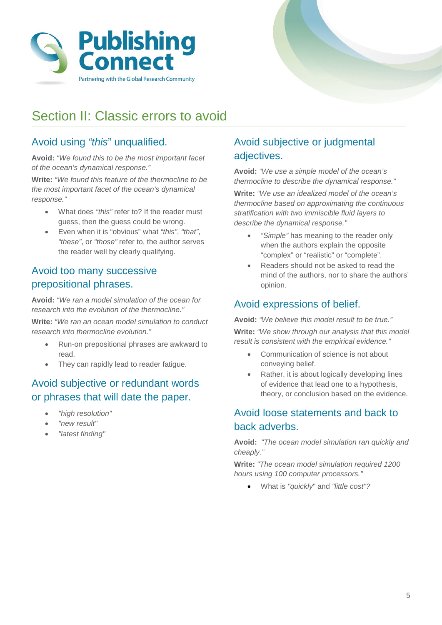



# Section II: Classic errors to avoid

# Avoid using *"this*" unqualified.

**Avoid:** *"We found this to be the most important facet of the ocean's dynamical response."*

**Write:** *"We found this feature of the thermocline to be the most important facet of the ocean's dynamical response."*

- What does *"this"* refer to? If the reader must guess, then the guess could be wrong.
- Even when it is "obvious" what *"this"*, *"that"*, *"these"*, or *"those"* refer to, the author serves the reader well by clearly qualifying.

# Avoid too many successive prepositional phrases.

**Avoid:** *"We ran a model simulation of the ocean for research into the evolution of the thermocline."*

**Write:** *"We ran an ocean model simulation to conduct research into thermocline evolution."*

- Run-on prepositional phrases are awkward to read.
- They can rapidly lead to reader fatigue.

# Avoid subjective or redundant words or phrases that will date the paper.

- *"high resolution"*
- *"new result"*
- *"latest finding"*

# Avoid subjective or judgmental adjectives.

**Avoid:** *"We use a simple model of the ocean's thermocline to describe the dynamical response."* 

**Write:** *"We use an idealized model of the ocean's thermocline based on approximating the continuous stratification with two immiscible fluid layers to describe the dynamical response."*

- *"Simple"* has meaning to the reader only when the authors explain the opposite "complex" or "realistic" or "complete".
- Readers should not be asked to read the mind of the authors, nor to share the authors' opinion.

## Avoid expressions of belief.

**Avoid:** *"We believe this model result to be true."*

**Write:** *"We show through our analysis that this model result is consistent with the empirical evidence."*

- Communication of science is not about conveying belief.
- Rather, it is about logically developing lines of evidence that lead one to a hypothesis, theory, or conclusion based on the evidence.

# Avoid loose statements and back to back adverbs.

**Avoid:** *"The ocean model simulation ran quickly and cheaply."*

**Write:** *"The ocean model simulation required 1200 hours using 100 computer processors."* 

• What is *"quickly*" and *"little cost"?*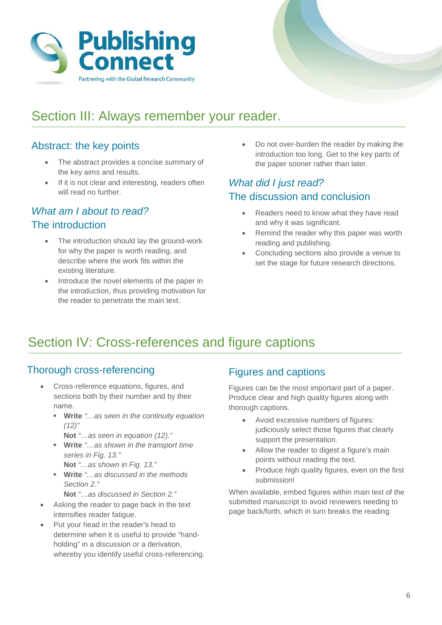



# Section III: Always remember your reader.

# Abstract: the key points

- Abstract: the key points • The abstract provides a concise summary of the key aims and results.
- If it is not clear and interesting, readers often will read no further.

#### $\frac{1}{2}$  is not contributed with  $\frac{1}{2}$  interesting, readers of  $\frac{1}{2}$ *What am I about to read?* The introduction

- The introduction should lay the ground-work for why the paper is worth reading, and<br>hot situation of the path fits all the deexisting literature. describe where the work fits within the
- Introduce the novel elements of the paper in the introduction, thus providing motivation for the reader to penetrate the main text.

the paper sooner rather than later. introduction too long. Get to the key parts of the • Do not over-burden the reader by making the introduction too long. Get to the key parts of

# **What did I just read?** The discussion and conclusion

- and conclusion and why it was significant. • Readers need to know what they have read
- Remind the reader why this paper was worth reading and publishing.
- Concluding sections also provide a venue to set the stage for future research directions.

# Section IV: Cross-references and figure captions

# Thorough cross-referencing Thorough cross-referencing

- Cross-reference equations, figures, and Cross-reference equations, figures, and sections both by their number and by their sections both by their number and by their name. name.
	- **Write** "…as seen in the continuity **Write** *"…as seen in the continuity equation (12)"*
		- **Not** "…as seen in the equation (12)." **Not** *"…as seen in equation (12)."*
	- **Write** "…as shown in the transport time time series in Fig. 13." *series in Fig. 13."*
		- **Not** "…as shown in Fig. 13." **Not** *"…as shown in Fig. 13."*
	- **Write** "…as discussed in the methods  $m \angle 2.$ *Section 2."*
		- **Not** "…as discussed in Section 2." **Not** *"…as discussed in Section 2."*
- Asking the reader to page back in the text Asking the reader to page back in the text intensifies reader fatigue. intensifies reader fatigue.
- Put your head in the reader's head to Put your head in the reader's head to determine when it is useful to provide "hand-determine when it is useful to provide "handholding" in a discussion or a derivation, holding" in a discussion or a derivation, whereby you identify useful cross-whereby you identify useful cross-referencing.

# Figures and Captions Figures and captions

Figures can be the most important part of a paper. Figures can be the most important part of a paper. Produce clear and high quality figures along with Produce clear and high quality figures along with thorough captions. thorough captions.

- Avoid excessive numbers of figures: Avoid excessive numbers of figures: judiciously select those figures that clearly judiciously select those figures that clearly support the presentation. support the presentation.
- Allow the reader to digest a figure's main Allow the reader to digest a figure's main points without reading the text. points without reading the text.
- Produce high quality figures, even on the first Produce high quality figures, even on the first submission! submission!

• When available, embed figures within main When available, embed figures within main text of the submitted manuscript to avoid reviewers needing to page back/forth, which in turn breaks the reading.